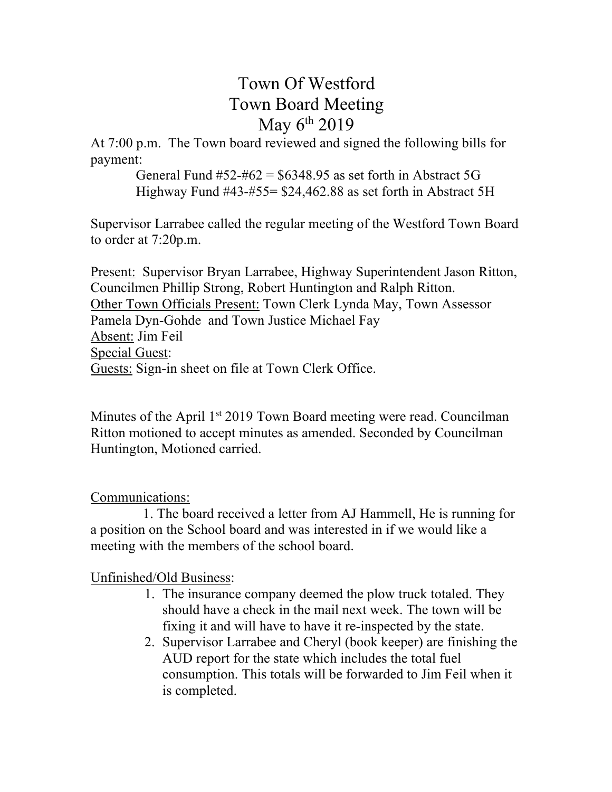# Town Of Westford Town Board Meeting May  $6^{th}$  2019

At 7:00 p.m. The Town board reviewed and signed the following bills for payment:

> General Fund  $#52-#62 = $6348.95$  as set forth in Abstract 5G Highway Fund #43-#55= \$24,462.88 as set forth in Abstract 5H

Supervisor Larrabee called the regular meeting of the Westford Town Board to order at 7:20p.m.

Present: Supervisor Bryan Larrabee, Highway Superintendent Jason Ritton, Councilmen Phillip Strong, Robert Huntington and Ralph Ritton. Other Town Officials Present: Town Clerk Lynda May, Town Assessor Pamela Dyn-Gohde and Town Justice Michael Fay Absent: Jim Feil Special Guest: Guests: Sign-in sheet on file at Town Clerk Office.

Minutes of the April 1<sup>st</sup> 2019 Town Board meeting were read. Councilman Ritton motioned to accept minutes as amended. Seconded by Councilman Huntington, Motioned carried.

## Communications:

 1. The board received a letter from AJ Hammell, He is running for a position on the School board and was interested in if we would like a meeting with the members of the school board.

# Unfinished/Old Business:

- 1. The insurance company deemed the plow truck totaled. They should have a check in the mail next week. The town will be fixing it and will have to have it re-inspected by the state.
- 2. Supervisor Larrabee and Cheryl (book keeper) are finishing the AUD report for the state which includes the total fuel consumption. This totals will be forwarded to Jim Feil when it is completed.